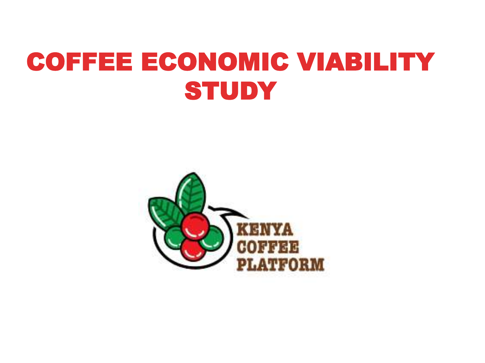# COFFEE ECONOMIC VIABILITY **STUDY**

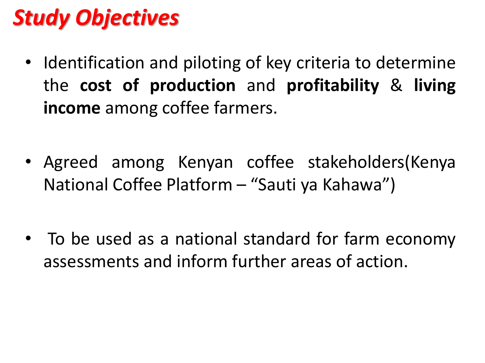# *Study Objectives*

- Identification and piloting of key criteria to determine the **cost of production** and **profitability** & **living income** among coffee farmers.
- Agreed among Kenyan coffee stakeholders(Kenya National Coffee Platform – "Sauti ya Kahawa")
- To be used as a national standard for farm economy assessments and inform further areas of action.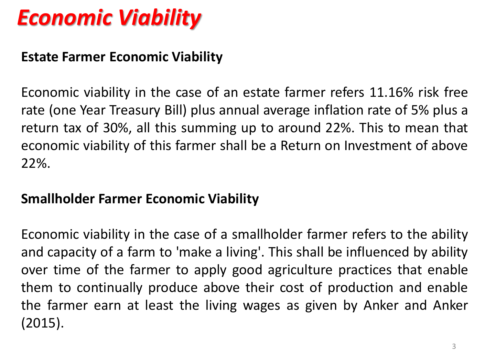# *Economic Viability*

### **Estate Farmer Economic Viability**

Economic viability in the case of an estate farmer refers 11.16% risk free rate (one Year Treasury Bill) plus annual average inflation rate of 5% plus a return tax of 30%, all this summing up to around 22%. This to mean that economic viability of this farmer shall be a Return on Investment of above 22%.

### **Smallholder Farmer Economic Viability**

Economic viability in the case of a smallholder farmer refers to the ability and capacity of a farm to 'make a living'. This shall be influenced by ability over time of the farmer to apply good agriculture practices that enable them to continually produce above their cost of production and enable the farmer earn at least the living wages as given by Anker and Anker (2015).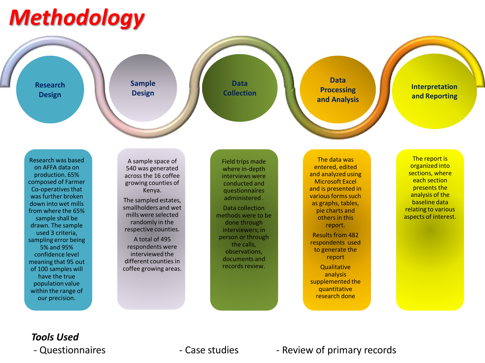# *Methodology*



**Sample Design**

**Data Collection**

**Data Processing and Analysis**

**Interpretation and Reporting**

Research was based on AFFA data on production. 65% composed of Farmer Co-operatives that was further broken down into wet mills from where the 65% sample shall be drawn. The sample used 3 criteria, sampling error being 5% and 95% confidence level meaning that 95 out of 100 samples will have the true population value within the range of our precision.

A sample space of 540 was generated across the 16 coffee growing counties of Kenya.

The sampled estates, smallholders and wet mills were selected randomly in the respective counties.

A total of 495 respondents were interviewed the different counties in coffee growing areas. Field trips made where in-depth interviews were conducted and questionnaires administered .

Data collection methods were to be done through interviewers; in person or through the calls, observations, documents and records review.

The data was entered, edited and analyzed using Microsoft Excel and is presented in various forms such as graphs, tables, pie charts and others in this report. Results from 482 respondents used to generate the report **Qualitative** analysis supplemented the quantitative research done

The report is organized into sections, where each section presents the analysis of the baseline data relating to various aspects of interest.

## *Tools Used*

#### - Questionnaires The Case studies - Case studies - Review of primary records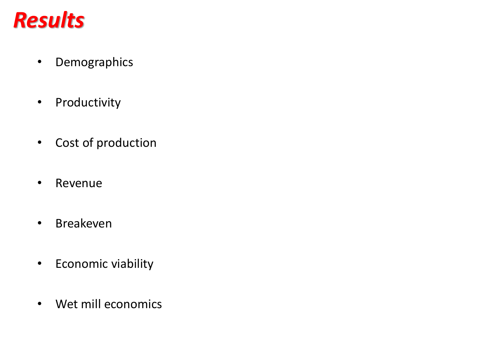# *Results*

- Demographics
- Productivity
- Cost of production
- Revenue
- Breakeven
- Economic viability
- Wet mill economics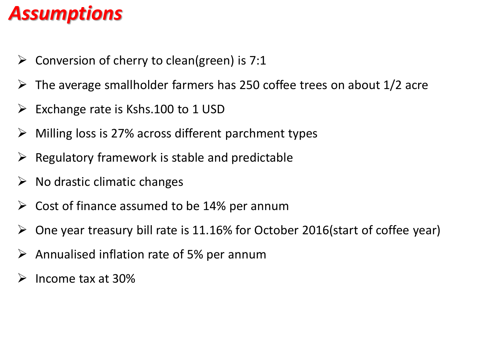### *Assumptions*

- $\triangleright$  Conversion of cherry to clean(green) is 7:1
- $\triangleright$  The average smallholder farmers has 250 coffee trees on about 1/2 acre
- $\triangleright$  Exchange rate is Kshs.100 to 1 USD
- ➢ Milling loss is 27% across different parchment types
- $\triangleright$  Regulatory framework is stable and predictable
- $\triangleright$  No drastic climatic changes
- $\geq$  Cost of finance assumed to be 14% per annum
- $\triangleright$  One year treasury bill rate is 11.16% for October 2016(start of coffee year)
- $\triangleright$  Annualised inflation rate of 5% per annum
- ➢ Income tax at 30%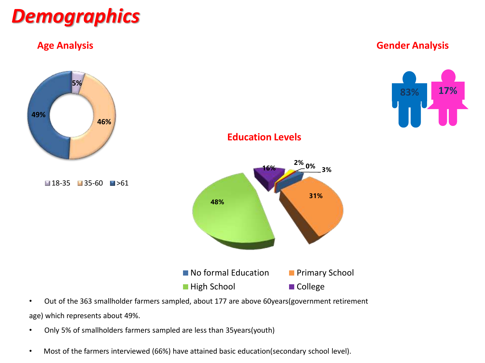

#### **Age Analysis Gender Analysis**



• Out of the 363 smallholder farmers sampled, about 177 are above 60years(government retirement age) which represents about 49%.

- Only 5% of smallholders farmers sampled are less than 35years(youth)
- Most of the farmers interviewed (66%) have attained basic education(secondary school level).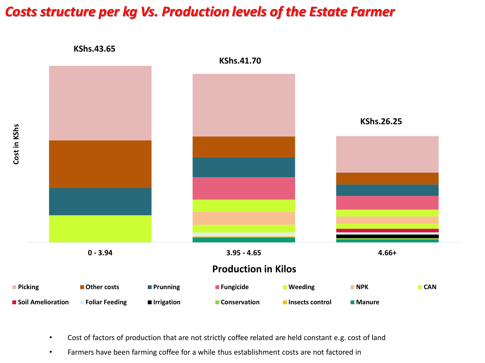### *Costs structure per kg Vs. Production levels of the Estate Farmer*



- Cost of factors of production that are not strictly coffee related are held constant e.g. cost of land
- Farmers have been farming coffee for a while thus establishment costs are not factored in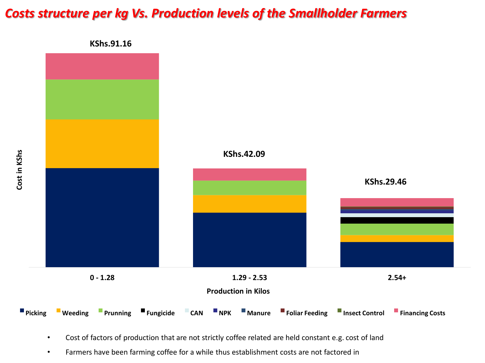### *Costs structure per kg Vs. Production levels of the Smallholder Farmers*



- Cost of factors of production that are not strictly coffee related are held constant e.g. cost of land
- Farmers have been farming coffee for a while thus establishment costs are not factored in

**Cost in KShs**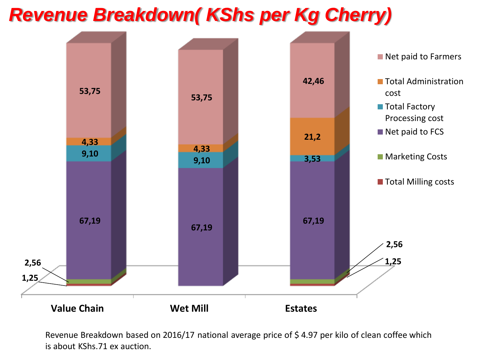### *Revenue Breakdown( KShs per Kg Cherry)*



Revenue Breakdown based on 2016/17 national average price of \$4.97 per kilo of clean coffee which is about KShs.71 ex auction.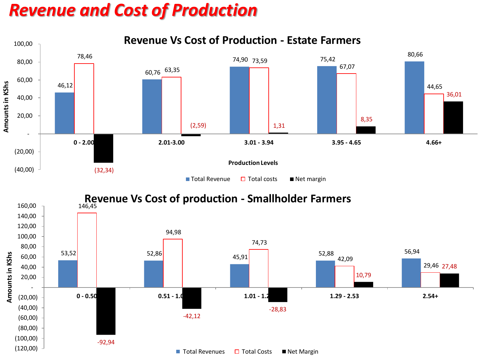### *Revenue and Cost of Production*



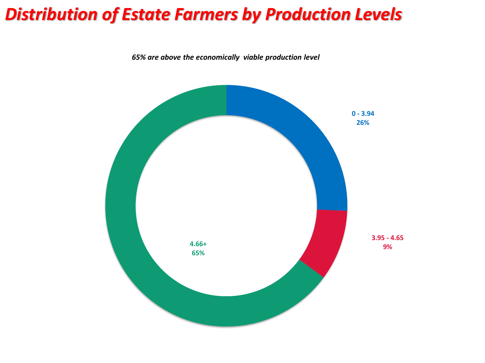### *Distribution of Estate Farmers by Production Levels*

*65% are above the economically viable production level*

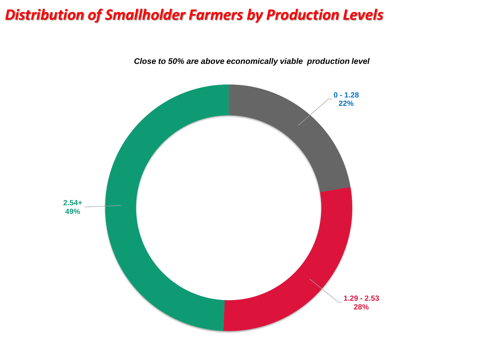### *Distribution of Smallholder Farmers by Production Levels*



*Close to 50% are above economically viable production level*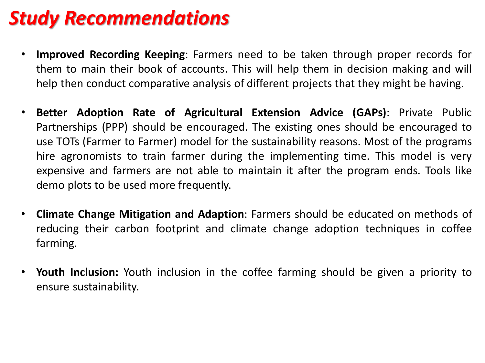## *Study Recommendations*

- **Improved Recording Keeping**: Farmers need to be taken through proper records for them to main their book of accounts. This will help them in decision making and will help then conduct comparative analysis of different projects that they might be having.
- **Better Adoption Rate of Agricultural Extension Advice (GAPs)**: Private Public Partnerships (PPP) should be encouraged. The existing ones should be encouraged to use TOTs (Farmer to Farmer) model for the sustainability reasons. Most of the programs hire agronomists to train farmer during the implementing time. This model is very expensive and farmers are not able to maintain it after the program ends. Tools like demo plots to be used more frequently.
- **Climate Change Mitigation and Adaption**: Farmers should be educated on methods of reducing their carbon footprint and climate change adoption techniques in coffee farming.
- **Youth Inclusion:** Youth inclusion in the coffee farming should be given a priority to ensure sustainability.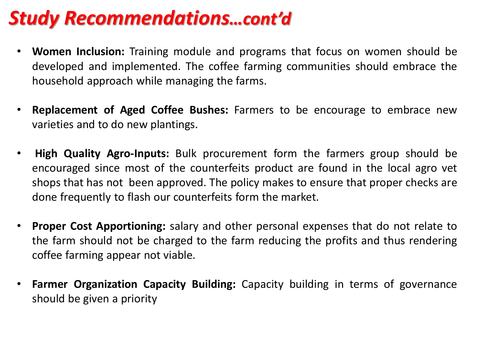### *Study Recommendations…cont'd*

- **Women Inclusion:** Training module and programs that focus on women should be developed and implemented. The coffee farming communities should embrace the household approach while managing the farms.
- **Replacement of Aged Coffee Bushes:** Farmers to be encourage to embrace new varieties and to do new plantings.
- **High Quality Agro-Inputs:** Bulk procurement form the farmers group should be encouraged since most of the counterfeits product are found in the local agro vet shops that has not been approved. The policy makes to ensure that proper checks are done frequently to flash our counterfeits form the market.
- **Proper Cost Apportioning:** salary and other personal expenses that do not relate to the farm should not be charged to the farm reducing the profits and thus rendering coffee farming appear not viable.
- **Farmer Organization Capacity Building:** Capacity building in terms of governance should be given a priority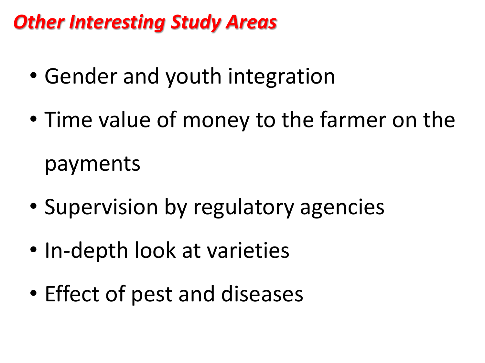# *Other Interesting Study Areas*

- Gender and youth integration
- Time value of money to the farmer on the payments
- Supervision by regulatory agencies
- In-depth look at varieties
- Effect of pest and diseases